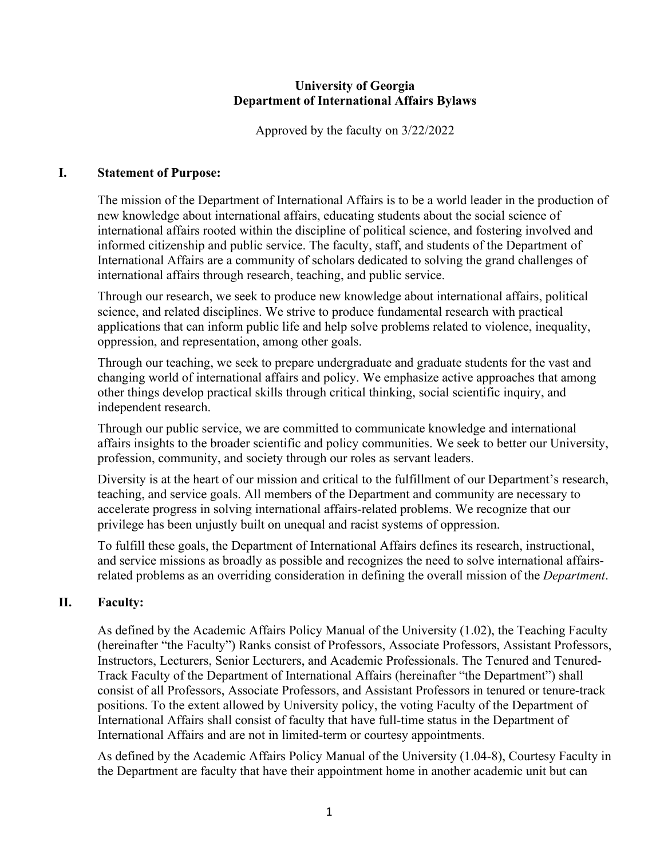#### **University of Georgia Department of International Affairs Bylaws**

Approved by the faculty on 3/22/2022

# **I. Statement of Purpose:**

The mission of the Department of International Affairs is to be a world leader in the production of new knowledge about international affairs, educating students about the social science of international affairs rooted within the discipline of political science, and fostering involved and informed citizenship and public service. The faculty, staff, and students of the Department of International Affairs are a community of scholars dedicated to solving the grand challenges of international affairs through research, teaching, and public service.

Through our research, we seek to produce new knowledge about international affairs, political science, and related disciplines. We strive to produce fundamental research with practical applications that can inform public life and help solve problems related to violence, inequality, oppression, and representation, among other goals.

Through our teaching, we seek to prepare undergraduate and graduate students for the vast and changing world of international affairs and policy. We emphasize active approaches that among other things develop practical skills through critical thinking, social scientific inquiry, and independent research.

Through our public service, we are committed to communicate knowledge and international affairs insights to the broader scientific and policy communities. We seek to better our University, profession, community, and society through our roles as servant leaders.

Diversity is at the heart of our mission and critical to the fulfillment of our Department's research, teaching, and service goals. All members of the Department and community are necessary to accelerate progress in solving international affairs-related problems. We recognize that our privilege has been unjustly built on unequal and racist systems of oppression.

To fulfill these goals, the Department of International Affairs defines its research, instructional, and service missions as broadly as possible and recognizes the need to solve international affairsrelated problems as an overriding consideration in defining the overall mission of the *Department*.

# **II. Faculty:**

As defined by the Academic Affairs Policy Manual of the University (1.02), the Teaching Faculty (hereinafter "the Faculty") Ranks consist of Professors, Associate Professors, Assistant Professors, Instructors, Lecturers, Senior Lecturers, and Academic Professionals. The Tenured and Tenured-Track Faculty of the Department of International Affairs (hereinafter "the Department") shall consist of all Professors, Associate Professors, and Assistant Professors in tenured or tenure-track positions. To the extent allowed by University policy, the voting Faculty of the Department of International Affairs shall consist of faculty that have full-time status in the Department of International Affairs and are not in limited-term or courtesy appointments.

As defined by the Academic Affairs Policy Manual of the University (1.04-8), Courtesy Faculty in the Department are faculty that have their appointment home in another academic unit but can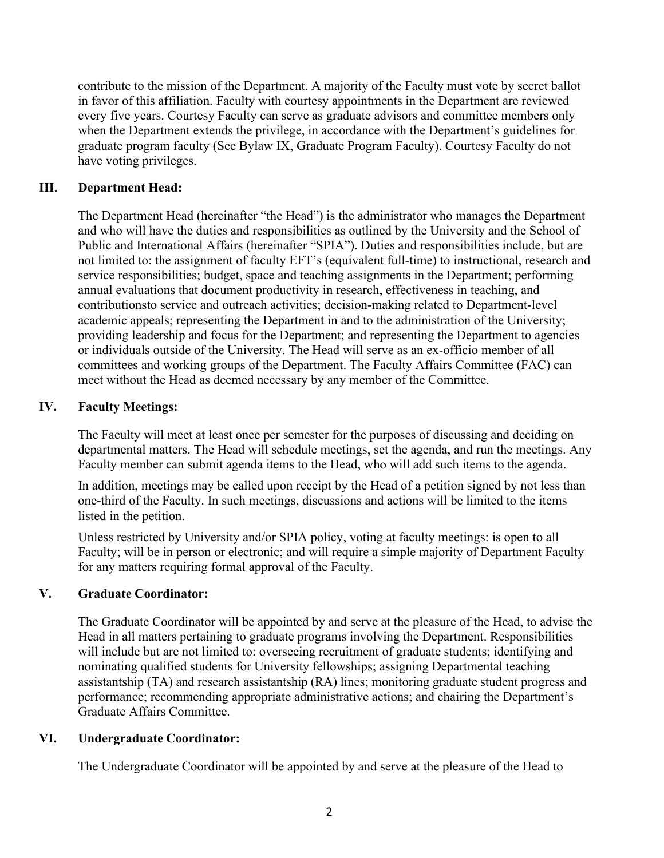contribute to the mission of the Department. A majority of the Faculty must vote by secret ballot in favor of this affiliation. Faculty with courtesy appointments in the Department are reviewed every five years. Courtesy Faculty can serve as graduate advisors and committee members only when the Department extends the privilege, in accordance with the Department's guidelines for graduate program faculty (See Bylaw IX, Graduate Program Faculty). Courtesy Faculty do not have voting privileges.

### **III. Department Head:**

The Department Head (hereinafter "the Head") is the administrator who manages the Department and who will have the duties and responsibilities as outlined by the University and the School of Public and International Affairs (hereinafter "SPIA"). Duties and responsibilities include, but are not limited to: the assignment of faculty EFT's (equivalent full-time) to instructional, research and service responsibilities; budget, space and teaching assignments in the Department; performing annual evaluations that document productivity in research, effectiveness in teaching, and contributionsto service and outreach activities; decision-making related to Department-level academic appeals; representing the Department in and to the administration of the University; providing leadership and focus for the Department; and representing the Department to agencies or individuals outside of the University. The Head will serve as an ex-officio member of all committees and working groups of the Department. The Faculty Affairs Committee (FAC) can meet without the Head as deemed necessary by any member of the Committee.

#### **IV. Faculty Meetings:**

The Faculty will meet at least once per semester for the purposes of discussing and deciding on departmental matters. The Head will schedule meetings, set the agenda, and run the meetings. Any Faculty member can submit agenda items to the Head, who will add such items to the agenda.

In addition, meetings may be called upon receipt by the Head of a petition signed by not less than one-third of the Faculty. In such meetings, discussions and actions will be limited to the items listed in the petition.

Unless restricted by University and/or SPIA policy, voting at faculty meetings: is open to all Faculty; will be in person or electronic; and will require a simple majority of Department Faculty for any matters requiring formal approval of the Faculty.

# **V. Graduate Coordinator:**

The Graduate Coordinator will be appointed by and serve at the pleasure of the Head, to advise the Head in all matters pertaining to graduate programs involving the Department. Responsibilities will include but are not limited to: overseeing recruitment of graduate students; identifying and nominating qualified students for University fellowships; assigning Departmental teaching assistantship (TA) and research assistantship (RA) lines; monitoring graduate student progress and performance; recommending appropriate administrative actions; and chairing the Department's Graduate Affairs Committee.

# **VI. Undergraduate Coordinator:**

The Undergraduate Coordinator will be appointed by and serve at the pleasure of the Head to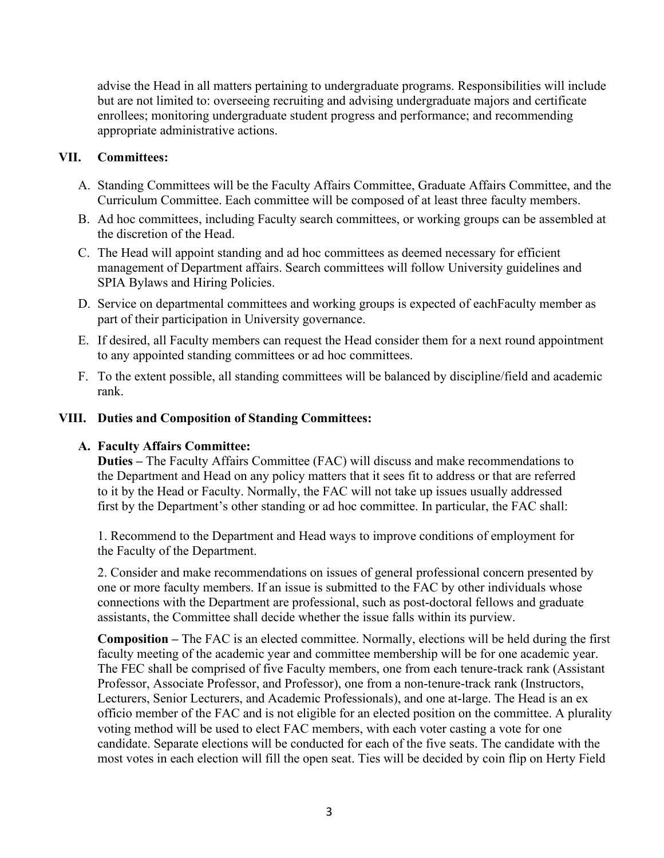advise the Head in all matters pertaining to undergraduate programs. Responsibilities will include but are not limited to: overseeing recruiting and advising undergraduate majors and certificate enrollees; monitoring undergraduate student progress and performance; and recommending appropriate administrative actions.

# **VII. Committees:**

- A. Standing Committees will be the Faculty Affairs Committee, Graduate Affairs Committee, and the Curriculum Committee. Each committee will be composed of at least three faculty members.
- B. Ad hoc committees, including Faculty search committees, or working groups can be assembled at the discretion of the Head.
- C. The Head will appoint standing and ad hoc committees as deemed necessary for efficient management of Department affairs. Search committees will follow University guidelines and SPIA Bylaws and Hiring Policies.
- D. Service on departmental committees and working groups is expected of eachFaculty member as part of their participation in University governance.
- E. If desired, all Faculty members can request the Head consider them for a next round appointment to any appointed standing committees or ad hoc committees.
- F. To the extent possible, all standing committees will be balanced by discipline/field and academic rank.

#### **VIII. Duties and Composition of Standing Committees:**

# **A. Faculty Affairs Committee:**

**Duties –** The Faculty Affairs Committee (FAC) will discuss and make recommendations to the Department and Head on any policy matters that it sees fit to address or that are referred to it by the Head or Faculty. Normally, the FAC will not take up issues usually addressed first by the Department's other standing or ad hoc committee. In particular, the FAC shall:

1. Recommend to the Department and Head ways to improve conditions of employment for the Faculty of the Department.

2. Consider and make recommendations on issues of general professional concern presented by one or more faculty members. If an issue is submitted to the FAC by other individuals whose connections with the Department are professional, such as post-doctoral fellows and graduate assistants, the Committee shall decide whether the issue falls within its purview.

**Composition –** The FAC is an elected committee. Normally, elections will be held during the first faculty meeting of the academic year and committee membership will be for one academic year. The FEC shall be comprised of five Faculty members, one from each tenure-track rank (Assistant Professor, Associate Professor, and Professor), one from a non-tenure-track rank (Instructors, Lecturers, Senior Lecturers, and Academic Professionals), and one at-large. The Head is an ex officio member of the FAC and is not eligible for an elected position on the committee. A plurality voting method will be used to elect FAC members, with each voter casting a vote for one candidate. Separate elections will be conducted for each of the five seats. The candidate with the most votes in each election will fill the open seat. Ties will be decided by coin flip on Herty Field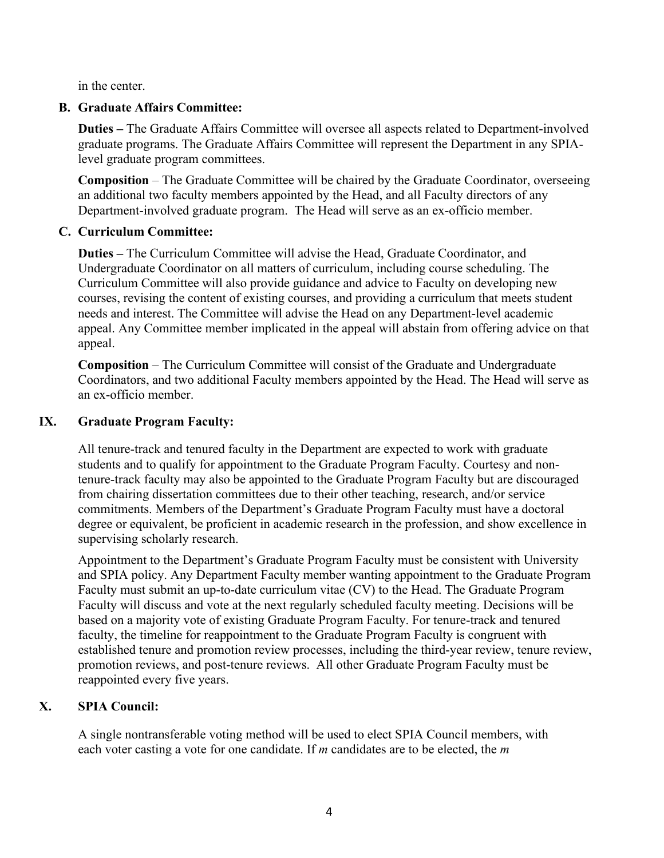in the center.

# **B. Graduate Affairs Committee:**

**Duties –** The Graduate Affairs Committee will oversee all aspects related to Department-involved graduate programs. The Graduate Affairs Committee will represent the Department in any SPIAlevel graduate program committees.

**Composition** – The Graduate Committee will be chaired by the Graduate Coordinator, overseeing an additional two faculty members appointed by the Head, and all Faculty directors of any Department-involved graduate program. The Head will serve as an ex-officio member.

#### **C. Curriculum Committee:**

**Duties –** The Curriculum Committee will advise the Head, Graduate Coordinator, and Undergraduate Coordinator on all matters of curriculum, including course scheduling. The Curriculum Committee will also provide guidance and advice to Faculty on developing new courses, revising the content of existing courses, and providing a curriculum that meets student needs and interest. The Committee will advise the Head on any Department-level academic appeal. Any Committee member implicated in the appeal will abstain from offering advice on that appeal.

**Composition** – The Curriculum Committee will consist of the Graduate and Undergraduate Coordinators, and two additional Faculty members appointed by the Head. The Head will serve as an ex-officio member.

#### **IX. Graduate Program Faculty:**

All tenure-track and tenured faculty in the Department are expected to work with graduate students and to qualify for appointment to the Graduate Program Faculty. Courtesy and nontenure-track faculty may also be appointed to the Graduate Program Faculty but are discouraged from chairing dissertation committees due to their other teaching, research, and/or service commitments. Members of the Department's Graduate Program Faculty must have a doctoral degree or equivalent, be proficient in academic research in the profession, and show excellence in supervising scholarly research.

Appointment to the Department's Graduate Program Faculty must be consistent with University and SPIA policy. Any Department Faculty member wanting appointment to the Graduate Program Faculty must submit an up-to-date curriculum vitae (CV) to the Head. The Graduate Program Faculty will discuss and vote at the next regularly scheduled faculty meeting. Decisions will be based on a majority vote of existing Graduate Program Faculty. For tenure-track and tenured faculty, the timeline for reappointment to the Graduate Program Faculty is congruent with established tenure and promotion review processes, including the third-year review, tenure review, promotion reviews, and post-tenure reviews. All other Graduate Program Faculty must be reappointed every five years.

# **X. SPIA Council:**

A single nontransferable voting method will be used to elect SPIA Council members, with each voter casting a vote for one candidate. If *m* candidates are to be elected, the *m*